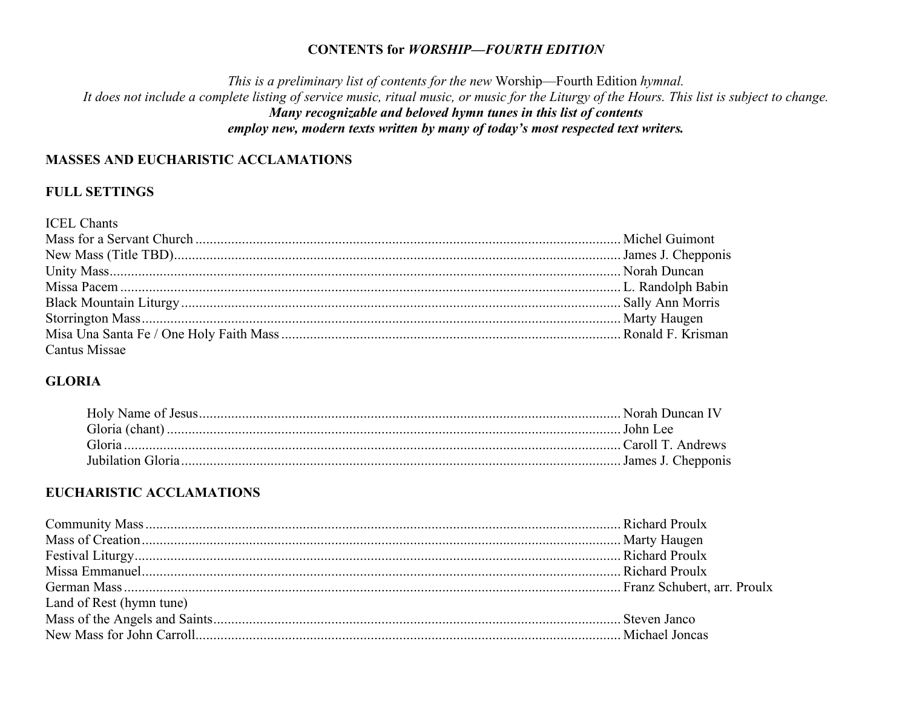#### **CONTENTS for WORSHIP-FOURTH EDITION**

This is a preliminary list of contents for the new Worship-Fourth Edition hymnal. It does not include a complete listing of service music, ritual music, or music for the Liturgy of the Hours. This list is subject to change. Many recognizable and beloved hymn tunes in this list of contents employ new, modern texts written by many of today's most respected text writers.

### **MASSES AND EUCHARISTIC ACCLAMATIONS**

### **FULL SETTINGS**

| <b>ICEL Chants</b> |  |
|--------------------|--|
|                    |  |
|                    |  |
|                    |  |
|                    |  |
|                    |  |
|                    |  |
|                    |  |
| Cantus Missae      |  |

## **GLORIA**

## **EUCHARISTIC ACCLAMATIONS**

| Land of Rest (hymn tune) |  |
|--------------------------|--|
|                          |  |
|                          |  |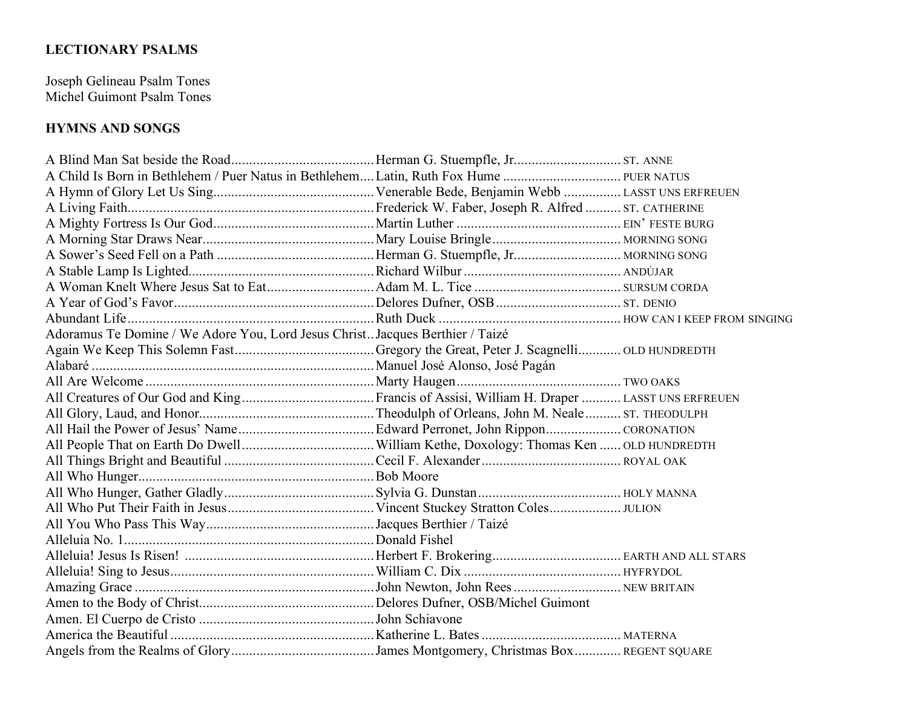# **LECTIONARY PSALMS**

Joseph Gelineau Psalm Tones Michel Guimont Psalm Tones

# **HYMNS AND SONGS**

| Adoramus Te Domine / We Adore You, Lord Jesus Christ Jacques Berthier / Taizé |  |
|-------------------------------------------------------------------------------|--|
|                                                                               |  |
|                                                                               |  |
|                                                                               |  |
|                                                                               |  |
|                                                                               |  |
|                                                                               |  |
|                                                                               |  |
|                                                                               |  |
|                                                                               |  |
|                                                                               |  |
|                                                                               |  |
|                                                                               |  |
|                                                                               |  |
|                                                                               |  |
|                                                                               |  |
|                                                                               |  |
|                                                                               |  |
|                                                                               |  |
|                                                                               |  |
|                                                                               |  |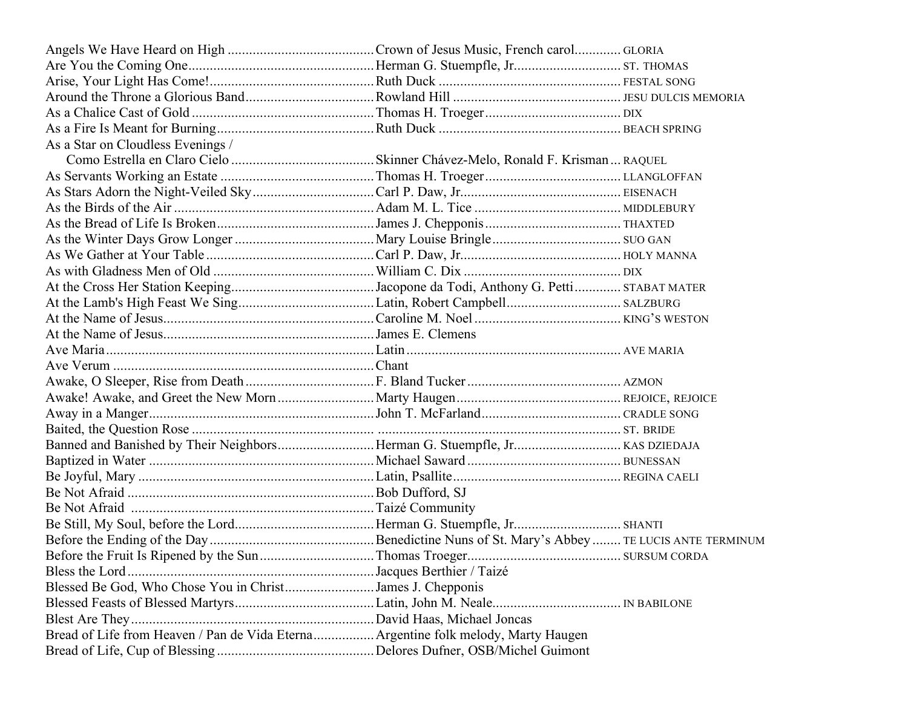| As a Star on Cloudless Evenings /                                                  |  |
|------------------------------------------------------------------------------------|--|
|                                                                                    |  |
|                                                                                    |  |
|                                                                                    |  |
|                                                                                    |  |
|                                                                                    |  |
|                                                                                    |  |
|                                                                                    |  |
|                                                                                    |  |
|                                                                                    |  |
|                                                                                    |  |
|                                                                                    |  |
|                                                                                    |  |
|                                                                                    |  |
|                                                                                    |  |
|                                                                                    |  |
|                                                                                    |  |
|                                                                                    |  |
|                                                                                    |  |
|                                                                                    |  |
|                                                                                    |  |
|                                                                                    |  |
|                                                                                    |  |
|                                                                                    |  |
|                                                                                    |  |
|                                                                                    |  |
|                                                                                    |  |
|                                                                                    |  |
| Blessed Be God, Who Chose You in ChristJames J. Chepponis                          |  |
|                                                                                    |  |
|                                                                                    |  |
| Bread of Life from Heaven / Pan de Vida Eterna Argentine folk melody, Marty Haugen |  |
|                                                                                    |  |
|                                                                                    |  |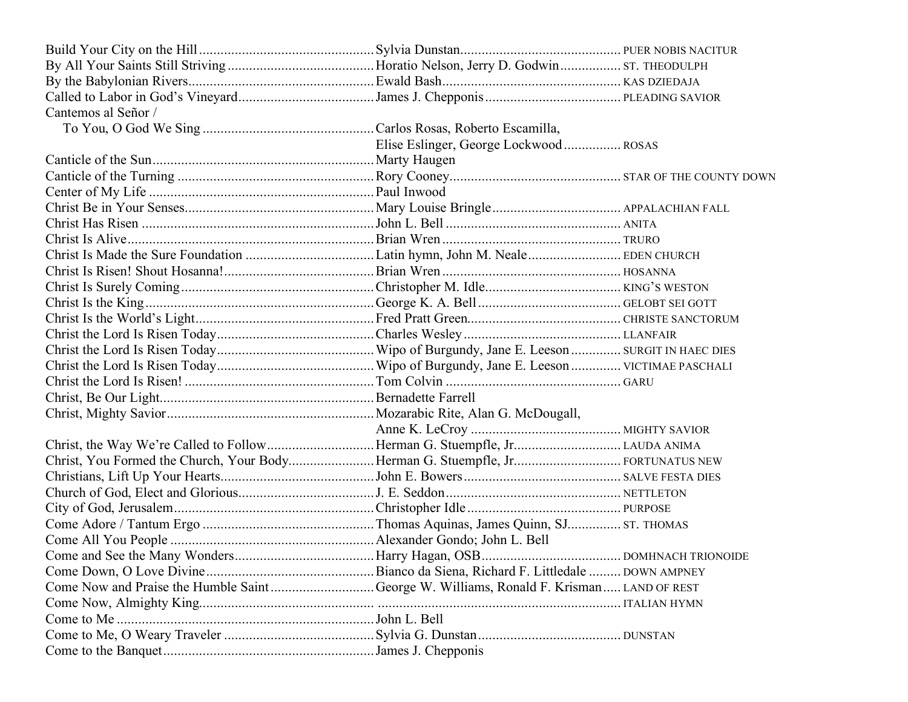| Cantemos al Señor /                                                                    |                                       |  |
|----------------------------------------------------------------------------------------|---------------------------------------|--|
|                                                                                        |                                       |  |
|                                                                                        | Elise Eslinger, George Lockwood ROSAS |  |
|                                                                                        |                                       |  |
|                                                                                        |                                       |  |
|                                                                                        |                                       |  |
|                                                                                        |                                       |  |
|                                                                                        |                                       |  |
|                                                                                        |                                       |  |
|                                                                                        |                                       |  |
|                                                                                        |                                       |  |
|                                                                                        |                                       |  |
|                                                                                        |                                       |  |
|                                                                                        |                                       |  |
|                                                                                        |                                       |  |
|                                                                                        |                                       |  |
|                                                                                        |                                       |  |
|                                                                                        |                                       |  |
|                                                                                        |                                       |  |
|                                                                                        |                                       |  |
|                                                                                        |                                       |  |
|                                                                                        |                                       |  |
|                                                                                        |                                       |  |
|                                                                                        |                                       |  |
|                                                                                        |                                       |  |
|                                                                                        |                                       |  |
|                                                                                        |                                       |  |
|                                                                                        |                                       |  |
|                                                                                        |                                       |  |
|                                                                                        |                                       |  |
| Come Now and Praise the Humble SaintGeorge W. Williams, Ronald F. Krisman LAND OF REST |                                       |  |
|                                                                                        |                                       |  |
|                                                                                        |                                       |  |
|                                                                                        |                                       |  |
|                                                                                        |                                       |  |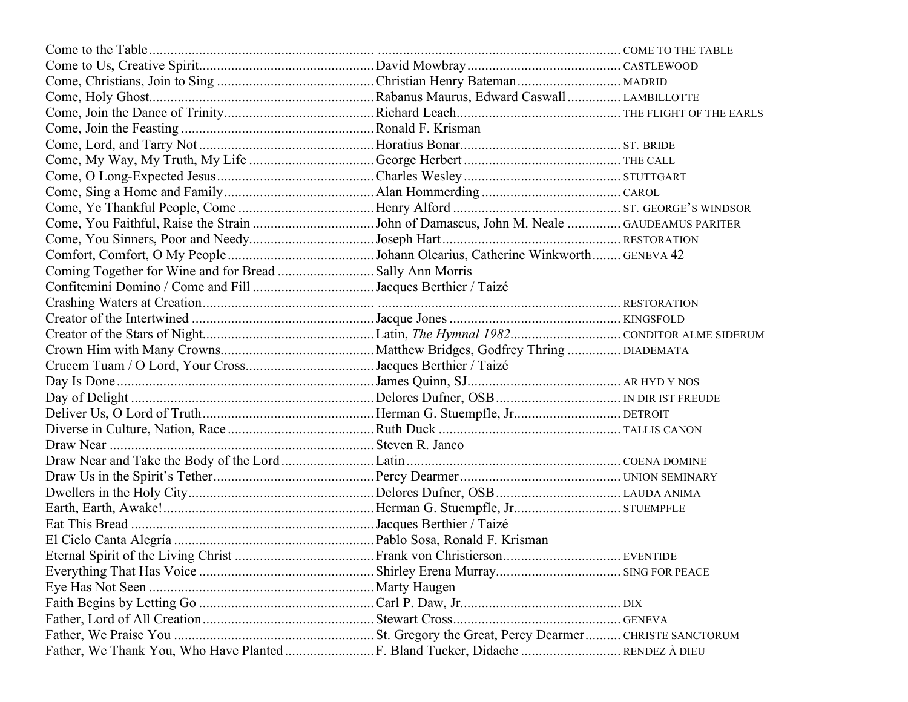|  | . EVENTIDE |
|--|------------|
|  |            |
|  |            |
|  |            |
|  |            |
|  |            |
|  |            |
|  |            |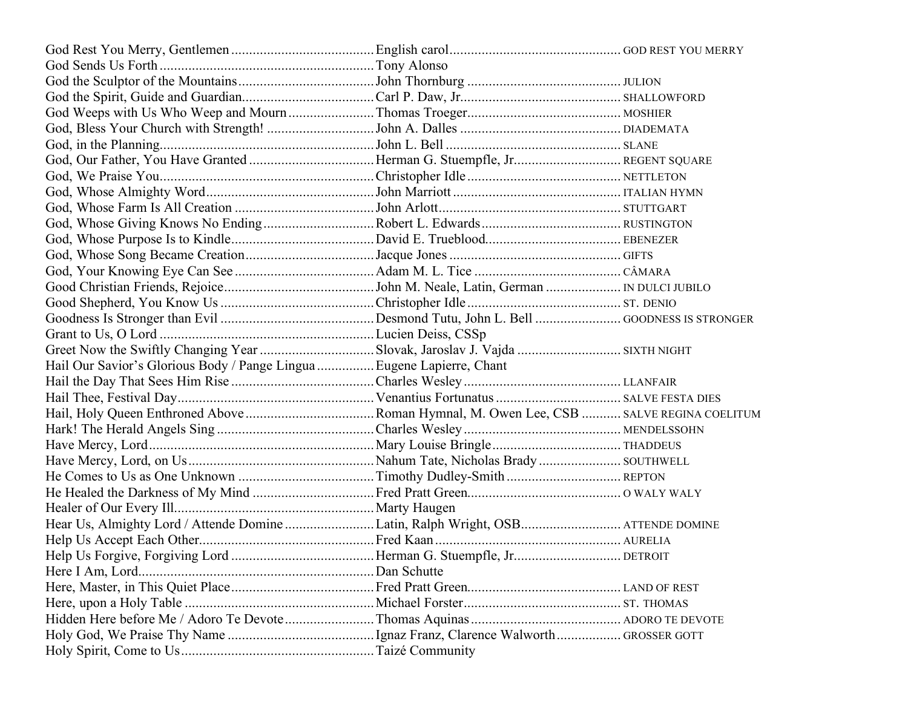| Hail Our Savior's Glorious Body / Pange Lingua  Eugene Lapierre, Chant |  |
|------------------------------------------------------------------------|--|
|                                                                        |  |
|                                                                        |  |
|                                                                        |  |
|                                                                        |  |
|                                                                        |  |
|                                                                        |  |
|                                                                        |  |
|                                                                        |  |
|                                                                        |  |
|                                                                        |  |
|                                                                        |  |
|                                                                        |  |
|                                                                        |  |
|                                                                        |  |
|                                                                        |  |
|                                                                        |  |
|                                                                        |  |
|                                                                        |  |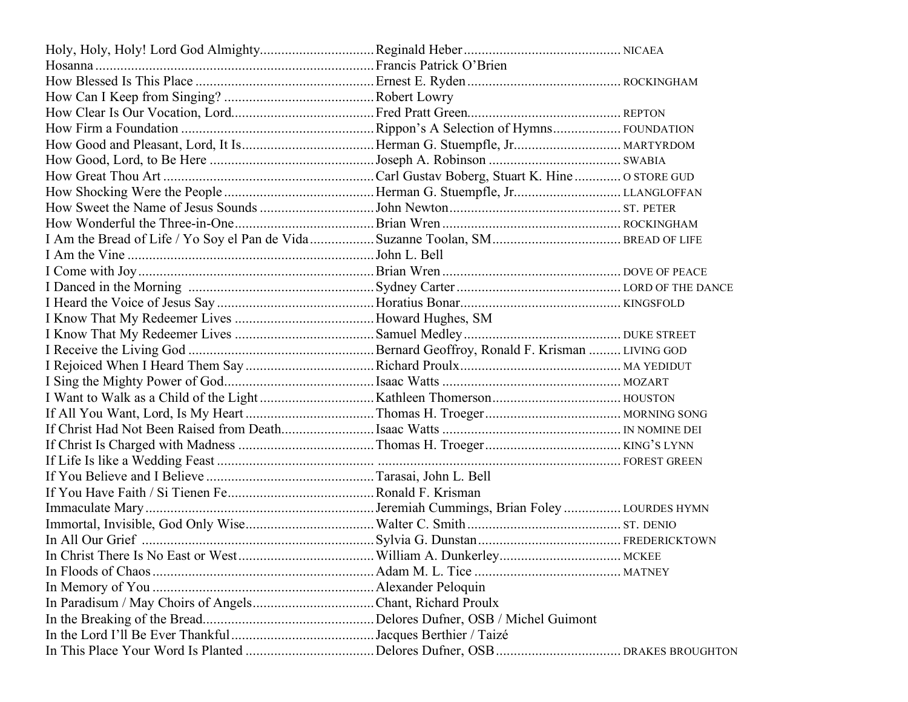| In Christ There Is No East or West |  |
|------------------------------------|--|
|                                    |  |
|                                    |  |
|                                    |  |
|                                    |  |
|                                    |  |
|                                    |  |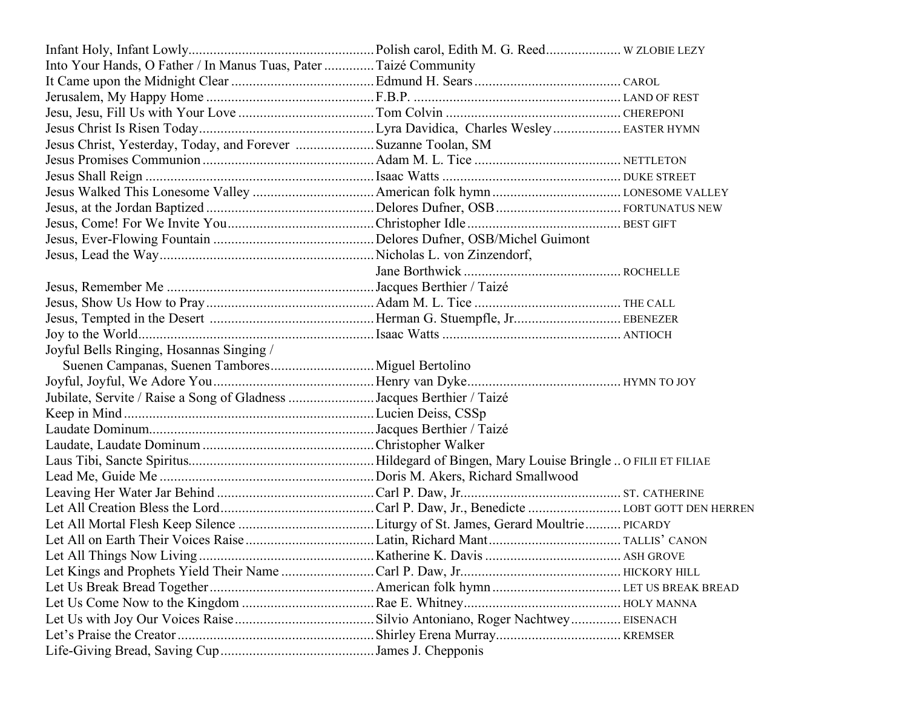| Into Your Hands, O Father / In Manus Tuas, Pater  Taizé Community     |  |
|-----------------------------------------------------------------------|--|
|                                                                       |  |
|                                                                       |  |
|                                                                       |  |
|                                                                       |  |
| Jesus Christ, Yesterday, Today, and Forever  Suzanne Toolan, SM       |  |
|                                                                       |  |
|                                                                       |  |
|                                                                       |  |
|                                                                       |  |
|                                                                       |  |
|                                                                       |  |
|                                                                       |  |
|                                                                       |  |
|                                                                       |  |
|                                                                       |  |
|                                                                       |  |
|                                                                       |  |
| Joyful Bells Ringing, Hosannas Singing /                              |  |
|                                                                       |  |
|                                                                       |  |
| Jubilate, Servite / Raise a Song of Gladness Jacques Berthier / Taizé |  |
|                                                                       |  |
|                                                                       |  |
|                                                                       |  |
|                                                                       |  |
|                                                                       |  |
|                                                                       |  |
|                                                                       |  |
|                                                                       |  |
|                                                                       |  |
|                                                                       |  |
|                                                                       |  |
|                                                                       |  |
|                                                                       |  |
|                                                                       |  |
|                                                                       |  |
|                                                                       |  |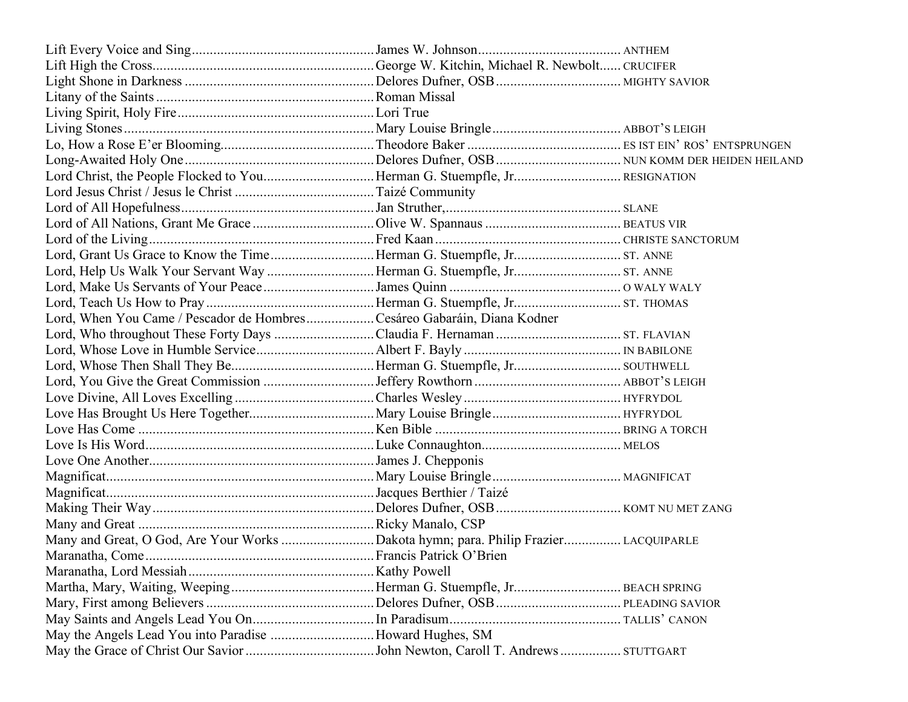| Lord, When You Came / Pescador de HombresCesáreo Gabaráin, Diana Kodner |                         |  |
|-------------------------------------------------------------------------|-------------------------|--|
|                                                                         |                         |  |
|                                                                         |                         |  |
|                                                                         |                         |  |
|                                                                         |                         |  |
|                                                                         |                         |  |
|                                                                         |                         |  |
|                                                                         |                         |  |
|                                                                         |                         |  |
|                                                                         |                         |  |
|                                                                         |                         |  |
|                                                                         |                         |  |
|                                                                         |                         |  |
|                                                                         |                         |  |
|                                                                         |                         |  |
|                                                                         | Francis Patrick O'Brien |  |
|                                                                         |                         |  |
|                                                                         |                         |  |
|                                                                         |                         |  |
|                                                                         |                         |  |
| May the Angels Lead You into Paradise Howard Hughes, SM                 |                         |  |
|                                                                         |                         |  |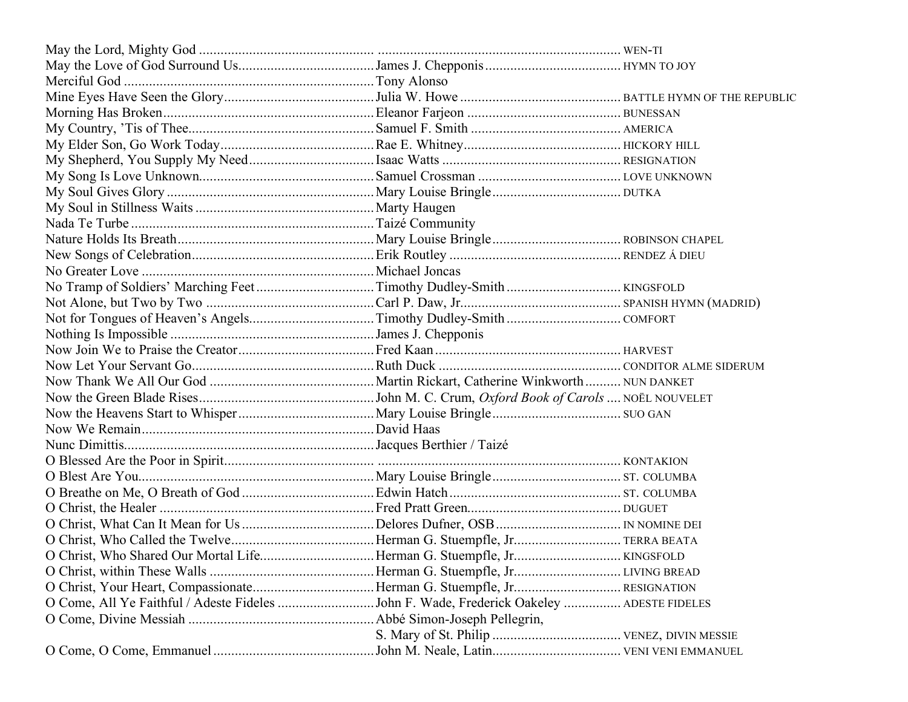| O Come, All Ye Faithful / Adeste Fideles John F. Wade, Frederick Oakeley  ADESTE FIDELES |  |
|------------------------------------------------------------------------------------------|--|
|                                                                                          |  |
|                                                                                          |  |
|                                                                                          |  |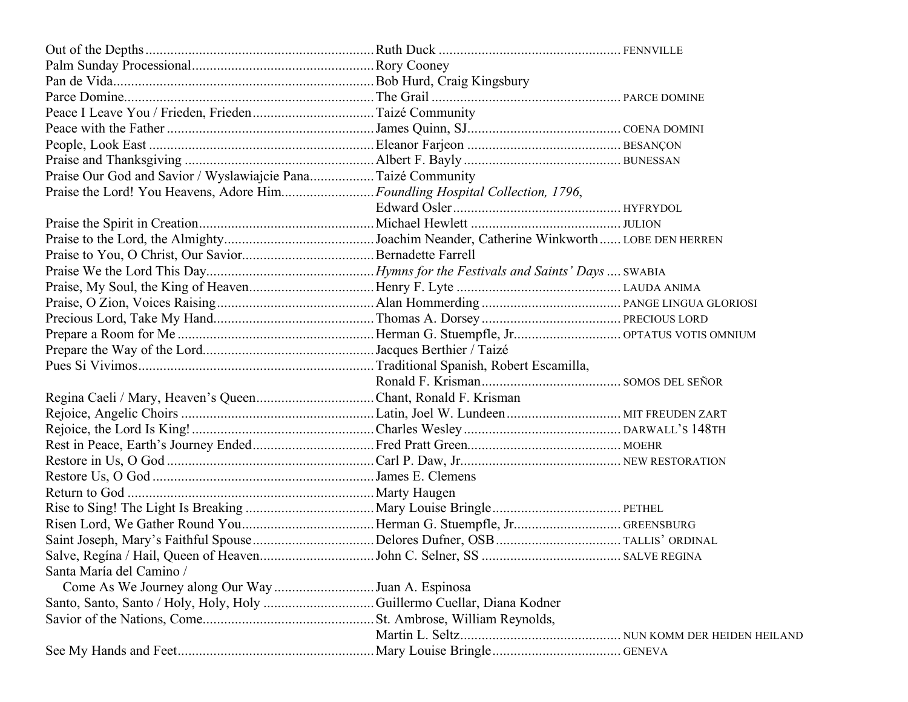| Praise Our God and Savior / Wyslawiajcie Pana Taizé Community               |  |
|-----------------------------------------------------------------------------|--|
| Praise the Lord! You Heavens, Adore HimFoundling Hospital Collection, 1796, |  |
|                                                                             |  |
|                                                                             |  |
|                                                                             |  |
|                                                                             |  |
|                                                                             |  |
|                                                                             |  |
|                                                                             |  |
|                                                                             |  |
|                                                                             |  |
|                                                                             |  |
|                                                                             |  |
|                                                                             |  |
| Regina Caeli / Mary, Heaven's QueenChant, Ronald F. Krisman                 |  |
|                                                                             |  |
|                                                                             |  |
|                                                                             |  |
|                                                                             |  |
|                                                                             |  |
|                                                                             |  |
|                                                                             |  |
|                                                                             |  |
|                                                                             |  |
|                                                                             |  |
| Santa María del Camino /                                                    |  |
| Come As We Journey along Our Way Juan A. Espinosa                           |  |
|                                                                             |  |
|                                                                             |  |
|                                                                             |  |
|                                                                             |  |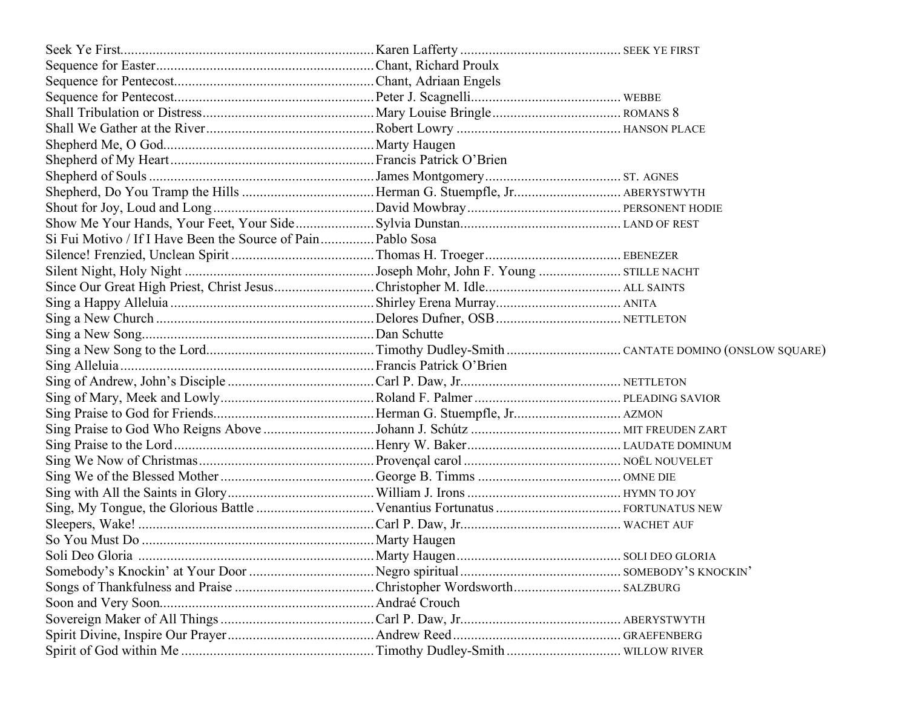| Si Fui Motivo / If I Have Been the Source of Pain Pablo Sosa |  |
|--------------------------------------------------------------|--|
|                                                              |  |
|                                                              |  |
|                                                              |  |
|                                                              |  |
|                                                              |  |
|                                                              |  |
|                                                              |  |
|                                                              |  |
|                                                              |  |
|                                                              |  |
|                                                              |  |
|                                                              |  |
|                                                              |  |
|                                                              |  |
|                                                              |  |
|                                                              |  |
|                                                              |  |
|                                                              |  |
|                                                              |  |
|                                                              |  |
|                                                              |  |
|                                                              |  |
|                                                              |  |
|                                                              |  |
|                                                              |  |
|                                                              |  |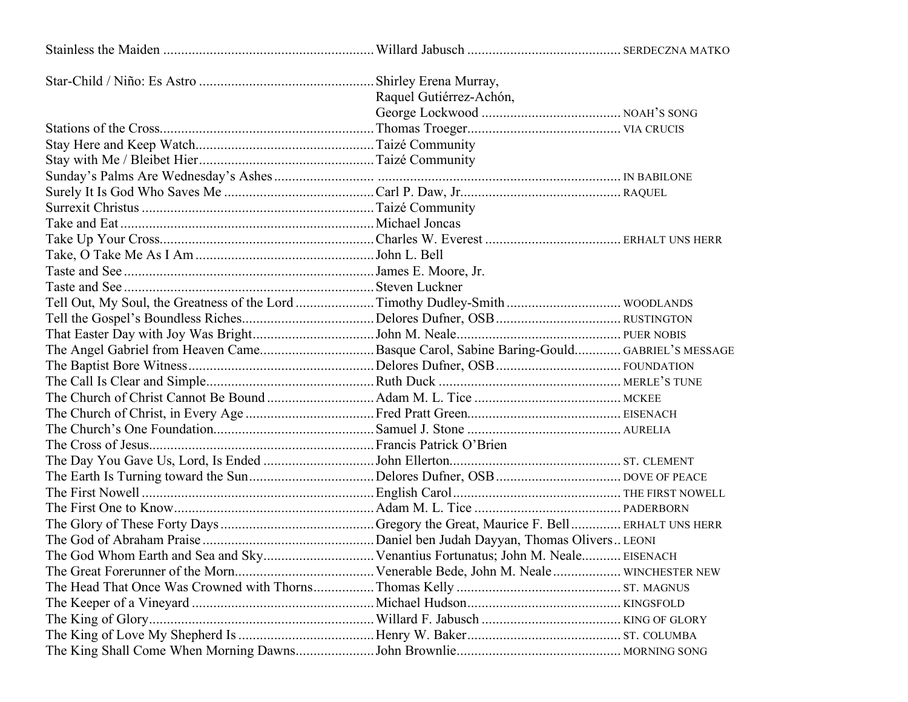|                                                                                       | Raquel Gutiérrez-Achón, |  |
|---------------------------------------------------------------------------------------|-------------------------|--|
|                                                                                       |                         |  |
|                                                                                       |                         |  |
|                                                                                       |                         |  |
|                                                                                       |                         |  |
|                                                                                       |                         |  |
|                                                                                       |                         |  |
|                                                                                       |                         |  |
|                                                                                       |                         |  |
|                                                                                       |                         |  |
|                                                                                       |                         |  |
|                                                                                       |                         |  |
|                                                                                       |                         |  |
|                                                                                       |                         |  |
|                                                                                       |                         |  |
|                                                                                       |                         |  |
| The Angel Gabriel from Heaven CameBasque Carol, Sabine Baring-Gould GABRIEL'S MESSAGE |                         |  |
|                                                                                       |                         |  |
|                                                                                       |                         |  |
|                                                                                       |                         |  |
|                                                                                       |                         |  |
|                                                                                       |                         |  |
|                                                                                       |                         |  |
|                                                                                       |                         |  |
|                                                                                       |                         |  |
|                                                                                       |                         |  |
|                                                                                       |                         |  |
|                                                                                       |                         |  |
|                                                                                       |                         |  |
|                                                                                       |                         |  |
|                                                                                       |                         |  |
|                                                                                       |                         |  |
|                                                                                       |                         |  |
|                                                                                       |                         |  |
|                                                                                       |                         |  |
|                                                                                       |                         |  |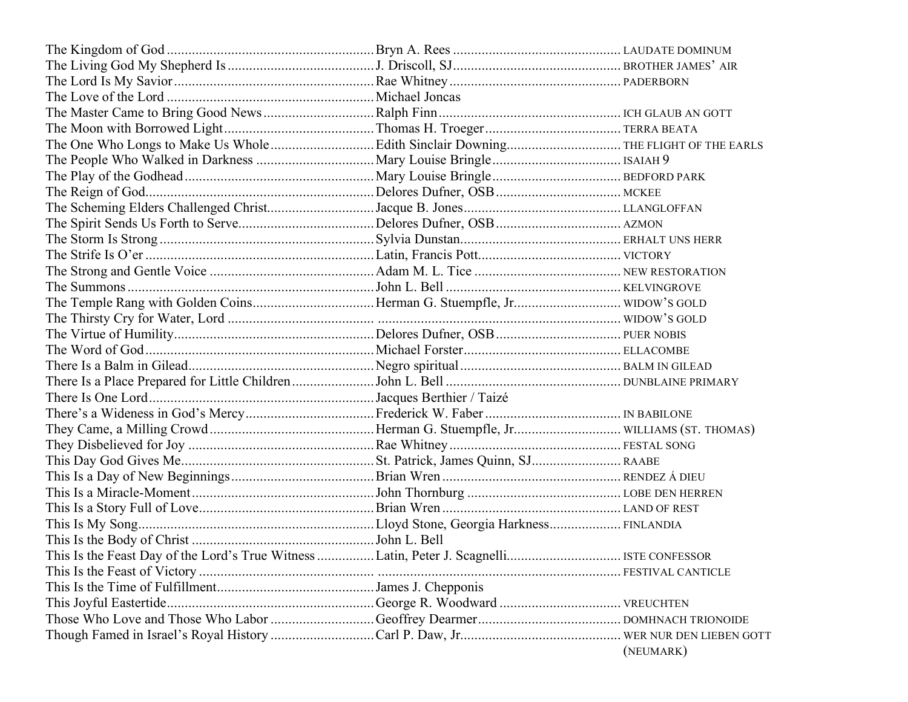| The Temple Rang with Golden CoinsHerman G. Stuempfle, Jr WIDOW'S GOLD |           |
|-----------------------------------------------------------------------|-----------|
|                                                                       |           |
|                                                                       |           |
|                                                                       |           |
|                                                                       |           |
|                                                                       |           |
|                                                                       |           |
|                                                                       |           |
|                                                                       |           |
|                                                                       |           |
|                                                                       |           |
|                                                                       |           |
|                                                                       |           |
|                                                                       |           |
|                                                                       |           |
|                                                                       |           |
|                                                                       |           |
|                                                                       |           |
|                                                                       |           |
|                                                                       |           |
|                                                                       |           |
|                                                                       |           |
|                                                                       | (NEUMARK) |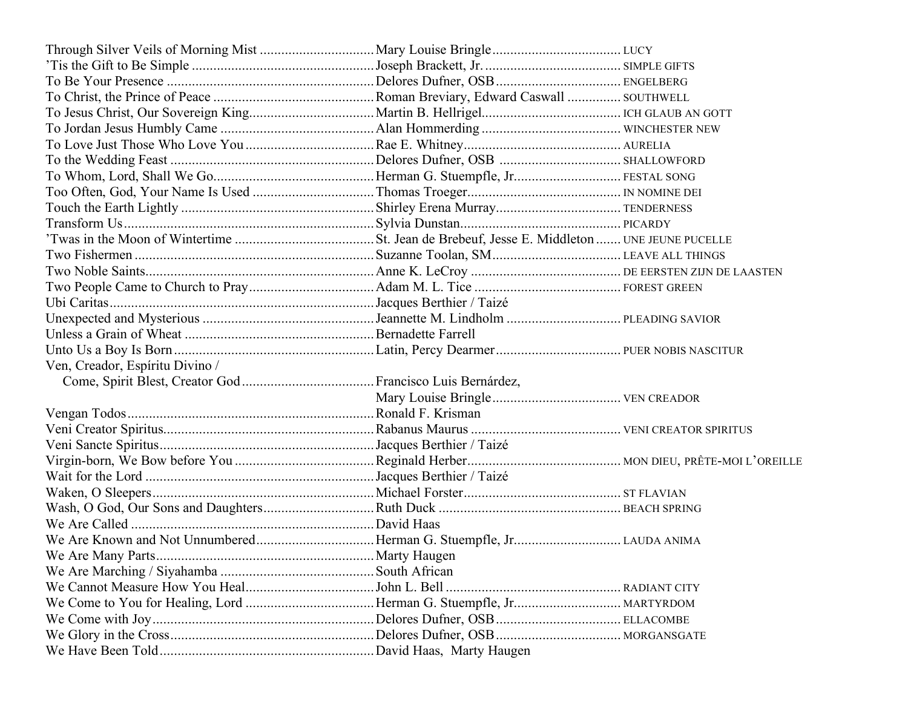| Ven, Creador, Espíritu Divino / |  |
|---------------------------------|--|
|                                 |  |
|                                 |  |
|                                 |  |
|                                 |  |
|                                 |  |
|                                 |  |
|                                 |  |
|                                 |  |
|                                 |  |
|                                 |  |
|                                 |  |
|                                 |  |
|                                 |  |
|                                 |  |
|                                 |  |
|                                 |  |
|                                 |  |
|                                 |  |